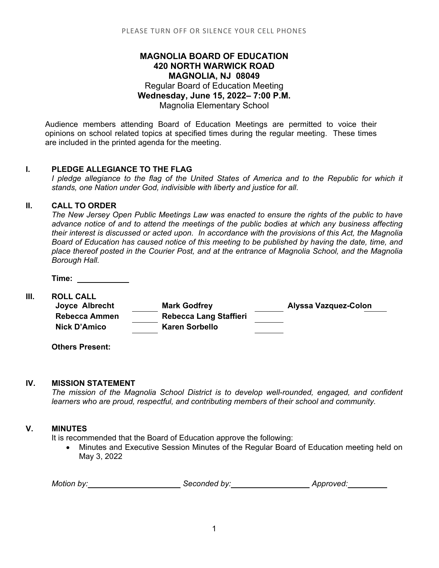# **MAGNOLIA BOARD OF EDUCATION 420 NORTH WARWICK ROAD MAGNOLIA, NJ 08049** Regular Board of Education Meeting **Wednesday, June 15, 2022– 7:00 P.M.** Magnolia Elementary School

Audience members attending Board of Education Meetings are permitted to voice their opinions on school related topics at specified times during the regular meeting. These times are included in the printed agenda for the meeting.

### **I. PLEDGE ALLEGIANCE TO THE FLAG**

*I* pledge allegiance to the flag of the United States of America and to the Republic for which it *stands, one Nation under God, indivisible with liberty and justice for all*.

## **II. CALL TO ORDER**

*The New Jersey Open Public Meetings Law was enacted to ensure the rights of the public to have advance notice of and to attend the meetings of the public bodies at which any business affecting their interest is discussed or acted upon. In accordance with the provisions of this Act, the Magnolia Board of Education has caused notice of this meeting to be published by having the date, time, and place thereof posted in the Courier Post, and at the entrance of Magnolia School, and the Magnolia Borough Hall.*

**Time:** 

**III. ROLL CALL Joyce Albrecht Mark Godfrey Alyssa Vazquez-Colon Rebecca Ammen Rebecca Lang Staffieri Nick D'Amico Karen Sorbello**

**Others Present:**

#### **IV. MISSION STATEMENT**

*The mission of the Magnolia School District is to develop well-rounded, engaged, and confident learners who are proud, respectful, and contributing members of their school and community.*

#### **V. MINUTES**

It is recommended that the Board of Education approve the following:

 Minutes and Executive Session Minutes of the Regular Board of Education meeting held on May 3, 2022

| Motion by: | Seconded by: | Approved: |
|------------|--------------|-----------|
|------------|--------------|-----------|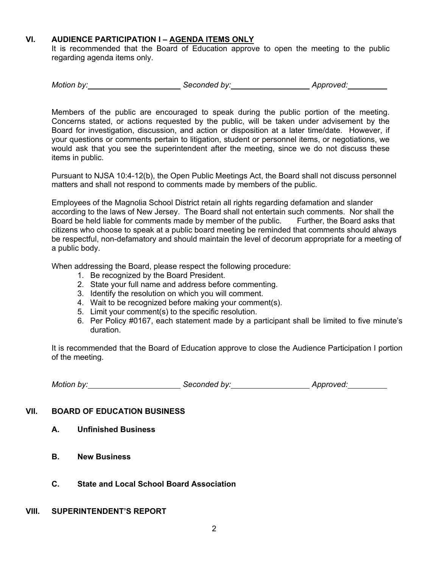## **VI. AUDIENCE PARTICIPATION I – AGENDA ITEMS ONLY**

It is recommended that the Board of Education approve to open the meeting to the public regarding agenda items only.

| Motion by: | Seconded by: | Approved: |
|------------|--------------|-----------|
|------------|--------------|-----------|

Members of the public are encouraged to speak during the public portion of the meeting. Concerns stated, or actions requested by the public, will be taken under advisement by the Board for investigation, discussion, and action or disposition at a later time/date. However, if your questions or comments pertain to litigation, student or personnel items, or negotiations, we would ask that you see the superintendent after the meeting, since we do not discuss these items in public.

Pursuant to NJSA 10:4-12(b), the Open Public Meetings Act, the Board shall not discuss personnel matters and shall not respond to comments made by members of the public.

Employees of the Magnolia School District retain all rights regarding defamation and slander according to the laws of New Jersey. The Board shall not entertain such comments. Nor shall the Board be held liable for comments made by member of the public. Further, the Board asks that citizens who choose to speak at a public board meeting be reminded that comments should always be respectful, non-defamatory and should maintain the level of decorum appropriate for a meeting of a public body.

When addressing the Board, please respect the following procedure:

- 1. Be recognized by the Board President.
- 2. State your full name and address before commenting.
- 3. Identify the resolution on which you will comment.
- 4. Wait to be recognized before making your comment(s).
- 5. Limit your comment(s) to the specific resolution.
- 6. Per Policy #0167, each statement made by a participant shall be limited to five minute's duration.

It is recommended that the Board of Education approve to close the Audience Participation I portion of the meeting.

| Motion by: | Seconded by: | Approved: |
|------------|--------------|-----------|
|------------|--------------|-----------|

## **VII. BOARD OF EDUCATION BUSINESS**

- **A. Unfinished Business**
- **B. New Business**
- **C. State and Local School Board Association**

#### **VIII. SUPERINTENDENT'S REPORT**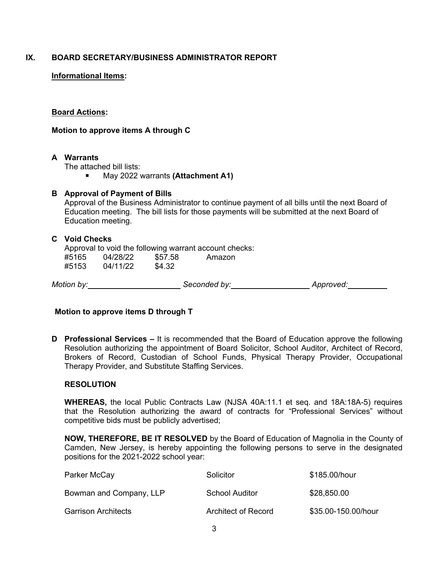## **IX. BOARD SECRETARY/BUSINESS ADMINISTRATOR REPORT**

### **Informational Items:**

#### **Board Actions:**

#### **Motion to approve items A through C**

#### **A Warrants**

The attached bill lists:

■ May 2022 warrants **(Attachment A1)** 

#### **B Approval of Payment of Bills**

Approval of the Business Administrator to continue payment of all bills until the next Board of Education meeting. The bill lists for those payments will be submitted at the next Board of Education meeting.

#### **C Void Checks**

Approval to void the following warrant account checks: #5165 04/28/22 \$57.58 Amazon #5153 04/11/22 \$4.32

*Motion by: Seconded by: Approved:*

## **Motion to approve items D through T**

**D Professional Services –** It is recommended that the Board of Education approve the following Resolution authorizing the appointment of Board Solicitor, School Auditor, Architect of Record, Brokers of Record, Custodian of School Funds, Physical Therapy Provider, Occupational Therapy Provider, and Substitute Staffing Services.

#### **RESOLUTION**

**WHEREAS,** the local Public Contracts Law (NJSA 40A:11.1 et seq. and 18A:18A-5) requires that the Resolution authorizing the award of contracts for "Professional Services" without competitive bids must be publicly advertised;

**NOW, THEREFORE, BE IT RESOLVED** by the Board of Education of Magnolia in the County of Camden, New Jersey, is hereby appointing the following persons to serve in the designated positions for the 2021-2022 school year:

| Parker McCay               | Solicitor           | \$185.00/hour       |
|----------------------------|---------------------|---------------------|
| Bowman and Company, LLP    | School Auditor      | \$28,850.00         |
| <b>Garrison Architects</b> | Architect of Record | \$35.00-150.00/hour |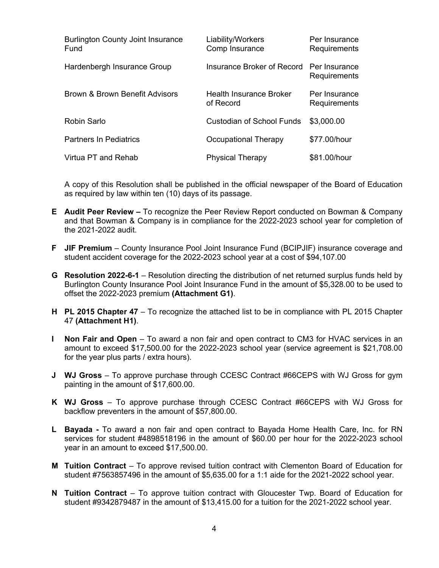| <b>Burlington County Joint Insurance</b><br>Fund | Liability/Workers<br>Comp Insurance         | Per Insurance<br>Requirements |
|--------------------------------------------------|---------------------------------------------|-------------------------------|
| Hardenbergh Insurance Group                      | Insurance Broker of Record                  | Per Insurance<br>Requirements |
| <b>Brown &amp; Brown Benefit Advisors</b>        | <b>Health Insurance Broker</b><br>of Record | Per Insurance<br>Requirements |
| Robin Sarlo                                      | <b>Custodian of School Funds</b>            | \$3,000.00                    |
| <b>Partners In Pediatrics</b>                    | Occupational Therapy                        | \$77.00/hour                  |
| Virtua PT and Rehab                              | <b>Physical Therapy</b>                     | \$81.00/hour                  |

A copy of this Resolution shall be published in the official newspaper of the Board of Education as required by law within ten (10) days of its passage.

- **E Audit Peer Review** To recognize the Peer Review Report conducted on Bowman & Company and that Bowman & Company is in compliance for the 2022-2023 school year for completion of the 2021-2022 audit.
- **F JIF Premium**  County Insurance Pool Joint Insurance Fund (BCIPJIF) insurance coverage and student accident coverage for the 2022-2023 school year at a cost of \$94,107.00
- **G Resolution 2022-6-1**  Resolution directing the distribution of net returned surplus funds held by Burlington County Insurance Pool Joint Insurance Fund in the amount of \$5,328.00 to be used to offset the 2022-2023 premium **(Attachment G1)**.
- **H PL 2015 Chapter 47**  To recognize the attached list to be in compliance with PL 2015 Chapter 47 **(Attachment H1)**.
- **I Non Fair and Open** To award a non fair and open contract to CM3 for HVAC services in an amount to exceed \$17,500.00 for the 2022-2023 school year (service agreement is \$21,708.00 for the year plus parts / extra hours).
- **J WJ Gross** To approve purchase through CCESC Contract #66CEPS with WJ Gross for gym painting in the amount of \$17,600.00.
- **K WJ Gross** To approve purchase through CCESC Contract #66CEPS with WJ Gross for backflow preventers in the amount of \$57,800.00.
- **L Bayada** To award a non fair and open contract to Bayada Home Health Care, Inc. for RN services for student #4898518196 in the amount of \$60.00 per hour for the 2022-2023 school year in an amount to exceed \$17,500.00.
- **M Tuition Contract**  To approve revised tuition contract with Clementon Board of Education for student #7563857496 in the amount of \$5,635.00 for a 1:1 aide for the 2021-2022 school year.
- **N Tuition Contract**  To approve tuition contract with Gloucester Twp. Board of Education for student #9342879487 in the amount of \$13,415.00 for a tuition for the 2021-2022 school year.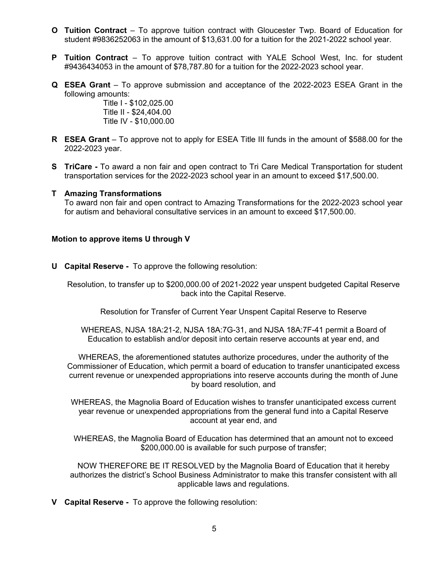- **O Tuition Contract**  To approve tuition contract with Gloucester Twp. Board of Education for student #9836252063 in the amount of \$13,631.00 for a tuition for the 2021-2022 school year.
- **P Tuition Contract**  To approve tuition contract with YALE School West, Inc. for student #9436434053 in the amount of \$78,787.80 for a tuition for the 2022-2023 school year.
- **Q ESEA Grant** To approve submission and acceptance of the 2022-2023 ESEA Grant in the following amounts:

Title I - \$102,025.00 Title II - \$24,404.00 Title IV - \$10,000.00

- **R ESEA Grant** To approve not to apply for ESEA Title III funds in the amount of \$588.00 for the 2022-2023 year.
- **S TriCare** To award a non fair and open contract to Tri Care Medical Transportation for student transportation services for the 2022-2023 school year in an amount to exceed \$17,500.00.

#### **T Amazing Transformations**

To award non fair and open contract to Amazing Transformations for the 2022-2023 school year for autism and behavioral consultative services in an amount to exceed \$17,500.00.

#### **Motion to approve items U through V**

**U Capital Reserve -** To approve the following resolution:

Resolution, to transfer up to \$200,000.00 of 2021-2022 year unspent budgeted Capital Reserve back into the Capital Reserve.

Resolution for Transfer of Current Year Unspent Capital Reserve to Reserve

WHEREAS, NJSA 18A:21-2, NJSA 18A:7G-31, and NJSA 18A:7F-41 permit a Board of Education to establish and/or deposit into certain reserve accounts at year end, and

WHEREAS, the aforementioned statutes authorize procedures, under the authority of the Commissioner of Education, which permit a board of education to transfer unanticipated excess current revenue or unexpended appropriations into reserve accounts during the month of June by board resolution, and

WHEREAS, the Magnolia Board of Education wishes to transfer unanticipated excess current year revenue or unexpended appropriations from the general fund into a Capital Reserve account at year end, and

WHEREAS, the Magnolia Board of Education has determined that an amount not to exceed \$200,000.00 is available for such purpose of transfer;

NOW THEREFORE BE IT RESOLVED by the Magnolia Board of Education that it hereby authorizes the district's School Business Administrator to make this transfer consistent with all applicable laws and regulations.

**V Capital Reserve -** To approve the following resolution: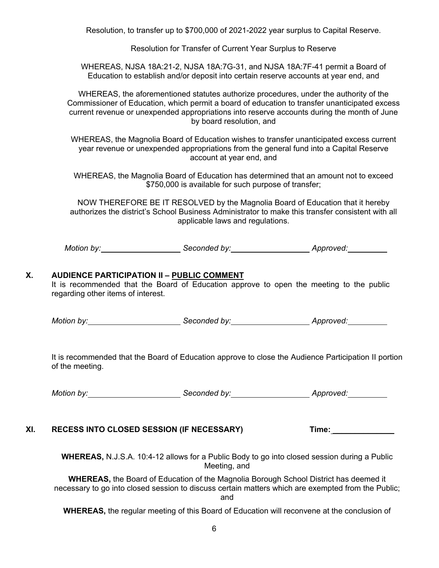Resolution, to transfer up to \$700,000 of 2021-2022 year surplus to Capital Reserve.

Resolution for Transfer of Current Year Surplus to Reserve

WHEREAS, NJSA 18A:21-2, NJSA 18A:7G-31, and NJSA 18A:7F-41 permit a Board of Education to establish and/or deposit into certain reserve accounts at year end, and

WHEREAS, the aforementioned statutes authorize procedures, under the authority of the Commissioner of Education, which permit a board of education to transfer unanticipated excess current revenue or unexpended appropriations into reserve accounts during the month of June by board resolution, and

WHEREAS, the Magnolia Board of Education wishes to transfer unanticipated excess current year revenue or unexpended appropriations from the general fund into a Capital Reserve account at year end, and

WHEREAS, the Magnolia Board of Education has determined that an amount not to exceed \$750,000 is available for such purpose of transfer;

NOW THEREFORE BE IT RESOLVED by the Magnolia Board of Education that it hereby authorizes the district's School Business Administrator to make this transfer consistent with all applicable laws and regulations.

Motion by: <u>Community Seconded by:</u> Seconded by: Approved: Approved:

#### **X. AUDIENCE PARTICIPATION II – PUBLIC COMMENT**

It is recommended that the Board of Education approve to open the meeting to the public regarding other items of interest.

*Motion by: Seconded by: Approved:*

It is recommended that the Board of Education approve to close the Audience Participation II portion of the meeting.

*Motion by: Seconded by: Approved:*

## **XI. RECESS INTO CLOSED SESSION (IF NECESSARY) Time:** \_\_\_\_\_\_\_\_\_\_\_\_\_\_

**WHEREAS,** N.J.S.A. 10:4-12 allows for a Public Body to go into closed session during a Public Meeting, and

**WHEREAS,** the Board of Education of the Magnolia Borough School District has deemed it necessary to go into closed session to discuss certain matters which are exempted from the Public; and

**WHEREAS,** the regular meeting of this Board of Education will reconvene at the conclusion of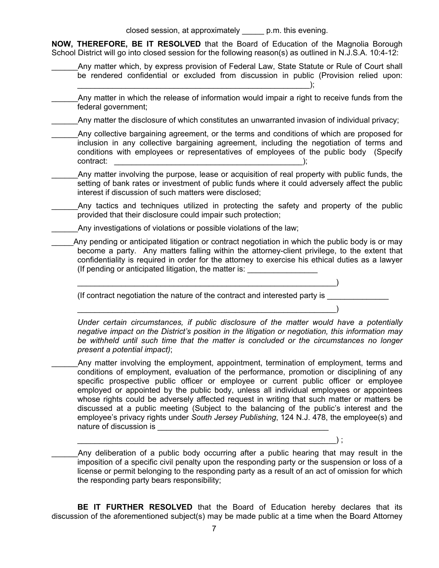closed session, at approximately \_\_\_\_\_ p.m. this evening.

**NOW, THEREFORE, BE IT RESOLVED** that the Board of Education of the Magnolia Borough School District will go into closed session for the following reason(s) as outlined in N.J.S.A. 10:4-12:

- \_\_\_\_\_\_Any matter which, by express provision of Federal Law, State Statute or Rule of Court shall be rendered confidential or excluded from discussion in public (Provision relied upon:
- Any matter in which the release of information would impair a right to receive funds from the federal government;

Any matter the disclosure of which constitutes an unwarranted invasion of individual privacy;

- Any collective bargaining agreement, or the terms and conditions of which are proposed for inclusion in any collective bargaining agreement, including the negotiation of terms and conditions with employees or representatives of employees of the public body (Specify contract:  $\qquad \qquad$  );
- Any matter involving the purpose, lease or acquisition of real property with public funds, the setting of bank rates or investment of public funds where it could adversely affect the public interest if discussion of such matters were disclosed;
- Any tactics and techniques utilized in protecting the safety and property of the public provided that their disclosure could impair such protection;
	- Any investigations of violations or possible violations of the law;
- Any pending or anticipated litigation or contract negotiation in which the public body is or may become a party. Any matters falling within the attorney-client privilege, to the extent that confidentiality is required in order for the attorney to exercise his ethical duties as a lawyer (If pending or anticipated litigation, the matter is: \_\_\_\_\_\_\_\_\_\_\_\_\_\_\_\_\_\_\_\_\_\_\_\_\_\_

 $\hspace{.5cm}$  , and the contract of the contract of the contract of the contract of the contract of the contract of the contract of the contract of the contract of the contract of the contract of the contract of the contract

 $\hspace{.5cm}$  , and the contract of the contract of the contract of the contract of the contract of the contract of the contract of the contract of the contract of the contract of the contract of the contract of the contract

(If contract negotiation the nature of the contract and interested party is \_\_\_\_\_\_

*Under certain circumstances, if public disclosure of the matter would have a potentially negative impact on the District's position in the litigation or negotiation, this information may be withheld until such time that the matter is concluded or the circumstances no longer present a potential impact)*;

Any matter involving the employment, appointment, termination of employment, terms and conditions of employment, evaluation of the performance, promotion or disciplining of any specific prospective public officer or employee or current public officer or employee employed or appointed by the public body, unless all individual employees or appointees whose rights could be adversely affected request in writing that such matter or matters be discussed at a public meeting (Subject to the balancing of the public's interest and the employee's privacy rights under *South Jersey Publishing*, 124 N.J. 478, the employee(s) and nature of discussion is **with a set of the set of the set of the set of the set of the set of the set of the set of the set of the set of the set of the set of the set of the set of the set of the set of the set of the set** 

Any deliberation of a public body occurring after a public hearing that may result in the imposition of a specific civil penalty upon the responding party or the suspension or loss of a license or permit belonging to the responding party as a result of an act of omission for which the responding party bears responsibility;

 $\hspace{.5cm}\bigg)$  ;

**BE IT FURTHER RESOLVED** that the Board of Education hereby declares that its discussion of the aforementioned subject(s) may be made public at a time when the Board Attorney